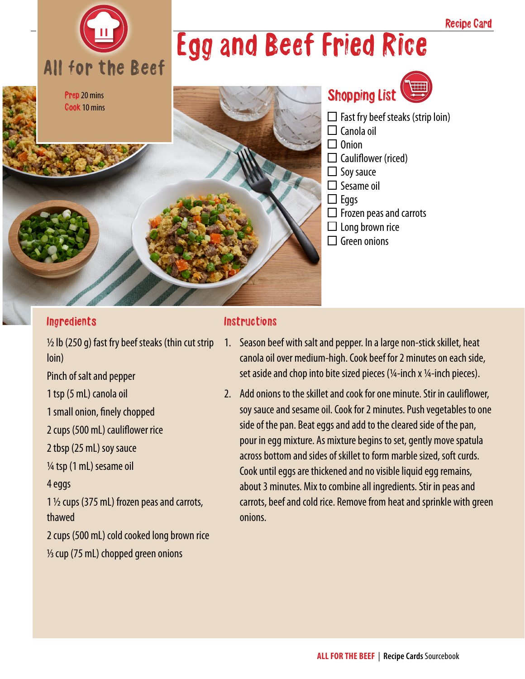

## Egg and Beef Fried Rice



### Shopping List

- $\Box$  Fast fry beef steaks (strip loin)  $\Box$  Canola oil  $\Box$  Onion
- $\Box$  Cauliflower (riced)
- $\Box$  Soy sauce
- $\square$  Sesame oil
- $\Box$  Eggs
- $\Box$  Frozen peas and carrots
- $\Box$  Long brown rice
- $\Box$  Green onions

#### Ingredients

 $\frac{1}{2}$  lb (250 g) fast fry beef steaks (thin cut strip loin)

Pinch of salt and pepper

1 tsp (5 mL) canola oil

1 small onion, finely chopped

2 cups (500 mL) cauliflower rice

2 tbsp (25 mL) soy sauce

¼ tsp (1 mL) sesame oil

4 eggs

1 ½ cups (375 mL) frozen peas and carrots, thawed

2 cups (500 mL) cold cooked long brown rice 1/3 cup (75 mL) chopped green onions

#### **Instructions**

- 1. Season beef with salt and pepper. In a large non-stick skillet, heat canola oil over medium-high. Cook beef for 2 minutes on each side, set aside and chop into bite sized pieces ( $\frac{1}{4}$ -inch x  $\frac{1}{4}$ -inch pieces).
- 2. Add onions to the skillet and cook for one minute. Stir in cauliflower, soy sauce and sesame oil. Cook for 2 minutes. Push vegetables to one side of the pan. Beat eggs and add to the cleared side of the pan, pour in egg mixture. As mixture begins to set, gently move spatula across bottom and sides of skillet to form marble sized, soft curds. Cook until eggs are thickened and no visible liquid egg remains, about 3 minutes. Mix to combine all ingredients. Stir in peas and carrots, beef and cold rice. Remove from heat and sprinkle with green onions.